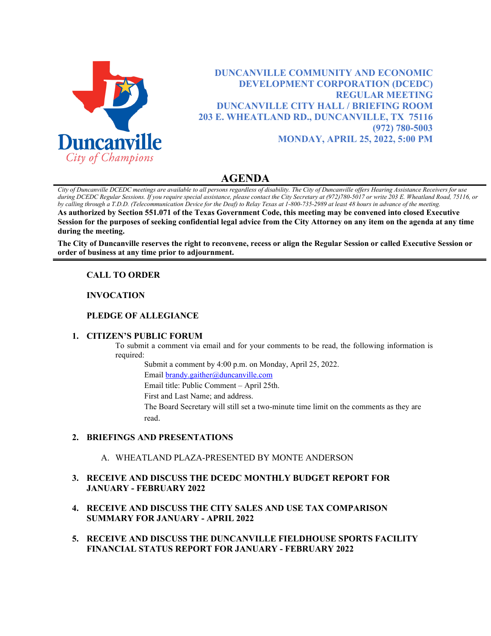

**DUNCANVILLE COMMUNITY AND ECONOMIC DEVELOPMENT CORPORATION (DCEDC) REGULAR MEETING DUNCANVILLE CITY HALL / BRIEFING ROOM 203 E. WHEATLAND RD., DUNCANVILLE, TX 75116 (972) 780-5003 MONDAY, APRIL 25, 2022, 5:00 PM**

# **AGENDA**

*City of Duncanville DCEDC meetings are available to all persons regardless of disability. The City of Duncanville offers Hearing Assistance Receivers for use during DCEDC Regular Sessions. If you require special assistance, please contact the City Secretary at (972)780-5017 or write 203 E. Wheatland Road, 75116, or by calling through a T.D.D. (Telecommunication Device for the Deaf) to Relay Texas at 1-800-735-2989 at least 48 hours in advance of the meeting.*  **As authorized by Section 551.071 of the Texas Government Code, this meeting may be convened into closed Executive Session for the purposes of seeking confidential legal advice from the City Attorney on any item on the agenda at any time during the meeting.**

**The City of Duncanville reserves the right to reconvene, recess or align the Regular Session or called Executive Session or order of business at any time prior to adjournment.**

# **CALL TO ORDER**

### **INVOCATION**

## **PLEDGE OF ALLEGIANCE**

### **1. CITIZEN'S PUBLIC FORUM**

To submit a comment via email and for your comments to be read, the following information is required:

Submit a comment by 4:00 p.m. on Monday, April 25, 2022.

Email [brandy.gaither@duncanville.com](mailto:brandy.gaither@duncanville.com)

Email title: Public Comment – April 25th.

First and Last Name; and address.

The Board Secretary will still set a two-minute time limit on the comments as they are read.

### **2. BRIEFINGS AND PRESENTATIONS**

A. WHEATLAND PLAZA-PRESENTED BY MONTE ANDERSON

# **3. RECEIVE AND DISCUSS THE DCEDC MONTHLY BUDGET REPORT FOR JANUARY - FEBRUARY 2022**

- **4. RECEIVE AND DISCUSS THE CITY SALES AND USE TAX COMPARISON SUMMARY FOR JANUARY - APRIL 2022**
- **5. RECEIVE AND DISCUSS THE DUNCANVILLE FIELDHOUSE SPORTS FACILITY FINANCIAL STATUS REPORT FOR JANUARY - FEBRUARY 2022**